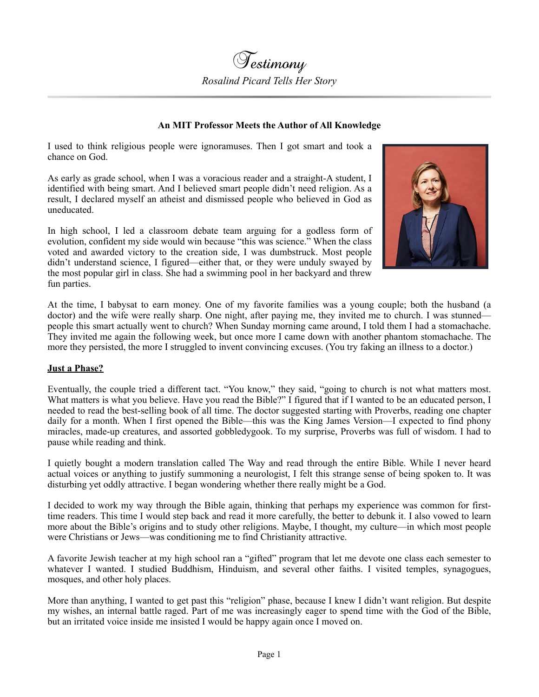## **An MIT Professor Meets the Author of All Knowledge**

I used to think religious people were ignoramuses. Then I got smart and took a chance on God.

As early as grade school, when I was a voracious reader and a straight-A student, I identified with being smart. And I believed smart people didn't need religion. As a result, I declared myself an atheist and dismissed people who believed in God as uneducated.

In high school, I led a classroom debate team arguing for a godless form of evolution, confident my side would win because "this was science." When the class voted and awarded victory to the creation side, I was dumbstruck. Most people didn't understand science, I figured—either that, or they were unduly swayed by the most popular girl in class. She had a swimming pool in her backyard and threw fun parties.



At the time, I babysat to earn money. One of my favorite families was a young couple; both the husband (a doctor) and the wife were really sharp. One night, after paying me, they invited me to church. I was stunned people this smart actually went to church? When Sunday morning came around, I told them I had a stomachache. They invited me again the following week, but once more I came down with another phantom stomachache. The more they persisted, the more I struggled to invent convincing excuses. (You try faking an illness to a doctor.)

## **Just a Phase?**

Eventually, the couple tried a different tact. "You know," they said, "going to church is not what matters most. What matters is what you believe. Have you read the Bible?" I figured that if I wanted to be an educated person, I needed to read the best-selling book of all time. The doctor suggested starting with Proverbs, reading one chapter daily for a month. When I first opened the Bible—this was the King James Version—I expected to find phony miracles, made-up creatures, and assorted gobbledygook. To my surprise, Proverbs was full of wisdom. I had to pause while reading and think.

I quietly bought a modern translation called The Way and read through the entire Bible. While I never heard actual voices or anything to justify summoning a neurologist, I felt this strange sense of being spoken to. It was disturbing yet oddly attractive. I began wondering whether there really might be a God.

I decided to work my way through the Bible again, thinking that perhaps my experience was common for firsttime readers. This time I would step back and read it more carefully, the better to debunk it. I also vowed to learn more about the Bible's origins and to study other religions. Maybe, I thought, my culture—in which most people were Christians or Jews—was conditioning me to find Christianity attractive.

A favorite Jewish teacher at my high school ran a "gifted" program that let me devote one class each semester to whatever I wanted. I studied Buddhism, Hinduism, and several other faiths. I visited temples, synagogues, mosques, and other holy places.

More than anything, I wanted to get past this "religion" phase, because I knew I didn't want religion. But despite my wishes, an internal battle raged. Part of me was increasingly eager to spend time with the God of the Bible, but an irritated voice inside me insisted I would be happy again once I moved on.